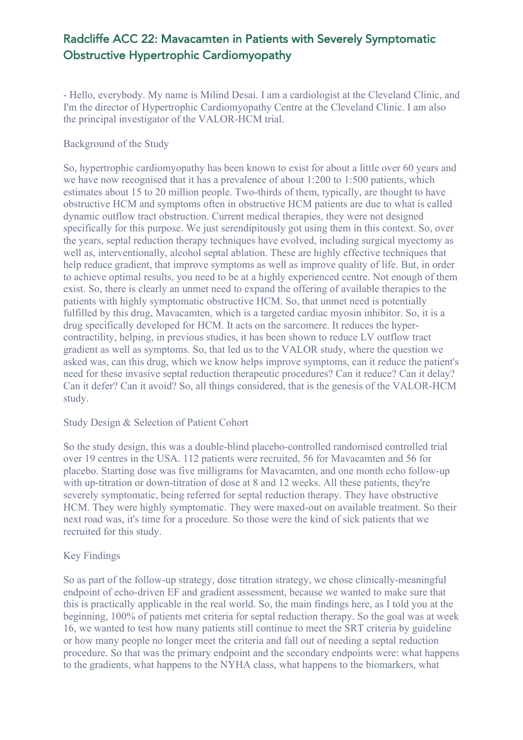## Radcliffe ACC 22: Mavacamten in Patients with Severely Symptomatic Obstructive Hypertrophic Cardiomyopathy

- Hello, everybody. My name is Milind Desai. I am a cardiologist at the Cleveland Clinic, and I'm the director of Hypertrophic Cardiomyopathy Centre at the Cleveland Clinic. I am also the principal investigator of the VALOR-HCM trial.

Background of the Study

So, hypertrophic cardiomyopathy has been known to exist for about a little over 60 years and we have now recognised that it has a prevalence of about 1:200 to 1:500 patients, which estimates about 15 to 20 million people. Two-thirds of them, typically, are thought to have obstructive HCM and symptoms often in obstructive HCM patients are due to what is called dynamic outflow tract obstruction. Current medical therapies, they were not designed specifically for this purpose. We just serendipitously got using them in this context. So, over the years, septal reduction therapy techniques have evolved, including surgical myectomy as well as, interventionally, alcohol septal ablation. These are highly effective techniques that help reduce gradient, that improve symptoms as well as improve quality of life. But, in order to achieve optimal results, you need to be at a highly experienced centre. Not enough of them exist. So, there is clearly an unmet need to expand the offering of available therapies to the patients with highly symptomatic obstructive HCM. So, that unmet need is potentially fulfilled by this drug, Mavacamten, which is a targeted cardiac myosin inhibitor. So, it is a drug specifically developed for HCM. It acts on the sarcomere. It reduces the hypercontractility, helping, in previous studies, it has been shown to reduce LV outflow tract gradient as well as symptoms. So, that led us to the VALOR study, where the question we asked was, can this drug, which we know helps improve symptoms, can it reduce the patient's need for these invasive septal reduction therapeutic procedures? Can it reduce? Can it delay? Can it defer? Can it avoid? So, all things considered, that is the genesis of the VALOR-HCM study.

#### Study Design & Selection of Patient Cohort

So the study design, this was a double-blind placebo-controlled randomised controlled trial over 19 centres in the USA. 112 patients were recruited, 56 for Mavacamten and 56 for placebo. Starting dose was five milligrams for Mavacamten, and one month echo follow-up with up-titration or down-titration of dose at 8 and 12 weeks. All these patients, they're severely symptomatic, being referred for septal reduction therapy. They have obstructive HCM. They were highly symptomatic. They were maxed-out on available treatment. So their next road was, it's time for a procedure. So those were the kind of sick patients that we recruited for this study.

### Key Findings

So as part of the follow-up strategy, dose titration strategy, we chose clinically-meaningful endpoint of echo-driven EF and gradient assessment, because we wanted to make sure that this is practically applicable in the real world. So, the main findings here, as I told you at the beginning, 100% of patients met criteria for septal reduction therapy. So the goal was at week 16, we wanted to test how many patients still continue to meet the SRT criteria by guideline or how many people no longer meet the criteria and fall out of needing a septal reduction procedure. So that was the primary endpoint and the secondary endpoints were: what happens to the gradients, what happens to the NYHA class, what happens to the biomarkers, what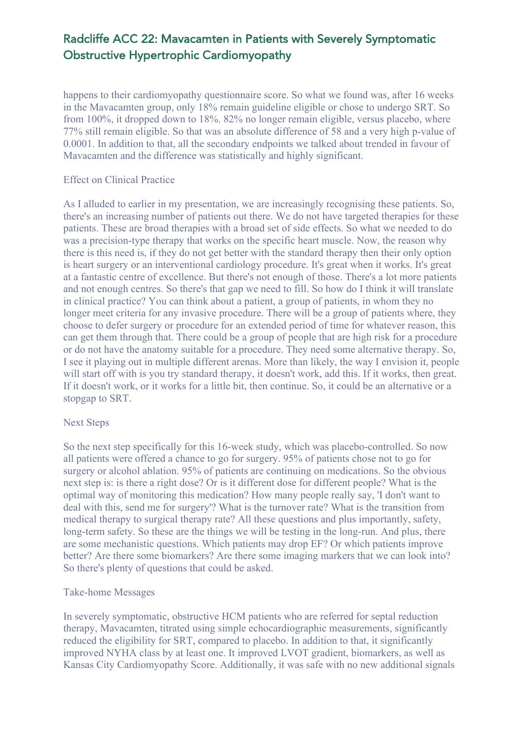## Radcliffe ACC 22: Mavacamten in Patients with Severely Symptomatic Obstructive Hypertrophic Cardiomyopathy

happens to their cardiomyopathy questionnaire score. So what we found was, after 16 weeks in the Mavacamten group, only 18% remain guideline eligible or chose to undergo SRT. So from 100%, it dropped down to 18%. 82% no longer remain eligible, versus placebo, where 77% still remain eligible. So that was an absolute difference of 58 and a very high p-value of 0.0001. In addition to that, all the secondary endpoints we talked about trended in favour of Mavacamten and the difference was statistically and highly significant.

#### Effect on Clinical Practice

As I alluded to earlier in my presentation, we are increasingly recognising these patients. So, there's an increasing number of patients out there. We do not have targeted therapies for these patients. These are broad therapies with a broad set of side effects. So what we needed to do was a precision-type therapy that works on the specific heart muscle. Now, the reason why there is this need is, if they do not get better with the standard therapy then their only option is heart surgery or an interventional cardiology procedure. It's great when it works. It's great at a fantastic centre of excellence. But there's not enough of those. There's a lot more patients and not enough centres. So there's that gap we need to fill. So how do I think it will translate in clinical practice? You can think about a patient, a group of patients, in whom they no longer meet criteria for any invasive procedure. There will be a group of patients where, they choose to defer surgery or procedure for an extended period of time for whatever reason, this can get them through that. There could be a group of people that are high risk for a procedure or do not have the anatomy suitable for a procedure. They need some alternative therapy. So, I see it playing out in multiple different arenas. More than likely, the way I envision it, people will start off with is you try standard therapy, it doesn't work, add this. If it works, then great. If it doesn't work, or it works for a little bit, then continue. So, it could be an alternative or a stopgap to SRT.

#### Next Steps

So the next step specifically for this 16-week study, which was placebo-controlled. So now all patients were offered a chance to go for surgery. 95% of patients chose not to go for surgery or alcohol ablation. 95% of patients are continuing on medications. So the obvious next step is: is there a right dose? Or is it different dose for different people? What is the optimal way of monitoring this medication? How many people really say, 'I don't want to deal with this, send me for surgery'? What is the turnover rate? What is the transition from medical therapy to surgical therapy rate? All these questions and plus importantly, safety, long-term safety. So these are the things we will be testing in the long-run. And plus, there are some mechanistic questions. Which patients may drop EF? Or which patients improve better? Are there some biomarkers? Are there some imaging markers that we can look into? So there's plenty of questions that could be asked.

#### Take-home Messages

In severely symptomatic, obstructive HCM patients who are referred for septal reduction therapy, Mavacamten, titrated using simple echocardiographic measurements, significantly reduced the eligibility for SRT, compared to placebo. In addition to that, it significantly improved NYHA class by at least one. It improved LVOT gradient, biomarkers, as well as Kansas City Cardiomyopathy Score. Additionally, it was safe with no new additional signals